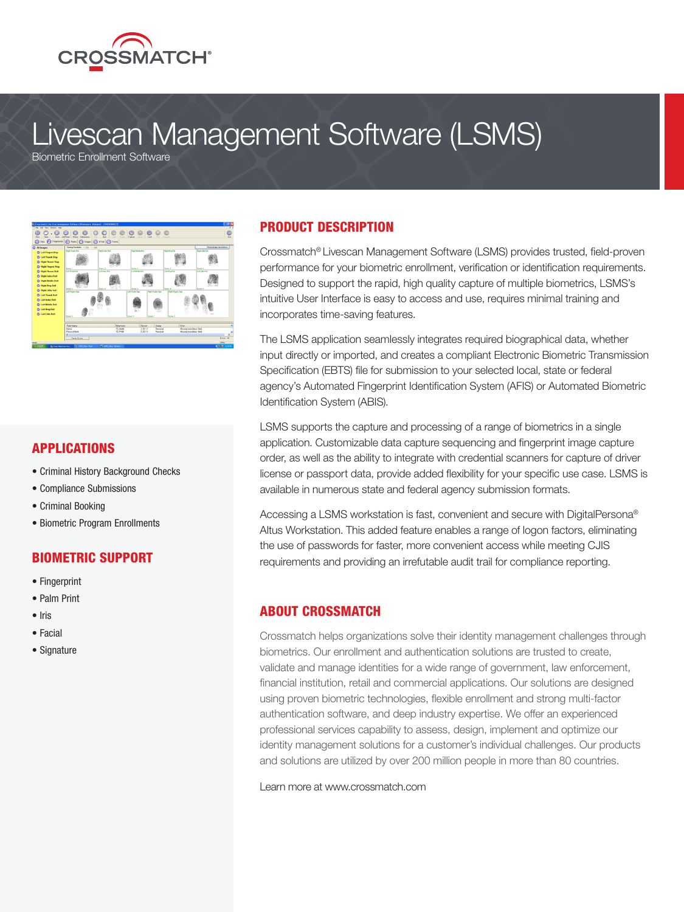

# Livescan Management Software (LSMS)

Biometric Enrollment Software



#### APPLICATIONS

- Criminal History Background Checks
- Compliance Submissions
- Criminal Booking
- Biometric Program Enrollments

#### BIOMETRIC SUPPORT

- Fingerprint
- Palm Print
- Iris
- Facial
- Signature

#### PRODUCT DESCRIPTION

Crossmatch® Livescan Management Software (LSMS) provides trusted, field-proven performance for your biometric enrollment, verification or identification requirements. Designed to support the rapid, high quality capture of multiple biometrics, LSMS's intuitive User Interface is easy to access and use, requires minimal training and incorporates time-saving features.

The LSMS application seamlessly integrates required biographical data, whether input directly or imported, and creates a compliant Electronic Biometric Transmission Specification (EBTS) file for submission to your selected local, state or federal agency's Automated Fingerprint Identification System (AFIS) or Automated Biometric Identification System (ABIS).

LSMS supports the capture and processing of a range of biometrics in a single application. Customizable data capture sequencing and fingerprint image capture order, as well as the ability to integrate with credential scanners for capture of driver license or passport data, provide added flexibility for your specific use case. LSMS is available in numerous state and federal agency submission formats.

Accessing a LSMS workstation is fast, convenient and secure with DigitalPersona® Altus Workstation. This added feature enables a range of logon factors, eliminating the use of passwords for faster, more convenient access while meeting CJIS requirements and providing an irrefutable audit trail for compliance reporting.

#### ABOUT CROSSMATCH

Crossmatch helps organizations solve their identity management challenges through biometrics. Our enrollment and authentication solutions are trusted to create, validate and manage identities for a wide range of government, law enforcement, financial institution, retail and commercial applications. Our solutions are designed using proven biometric technologies, flexible enrollment and strong multi-factor authentication software, and deep industry expertise. We offer an experienced professional services capability to assess, design, implement and optimize our identity management solutions for a customer's individual challenges. Our products and solutions are utilized by over 200 million people in more than 80 countries.

Learn more at www.crossmatch.com